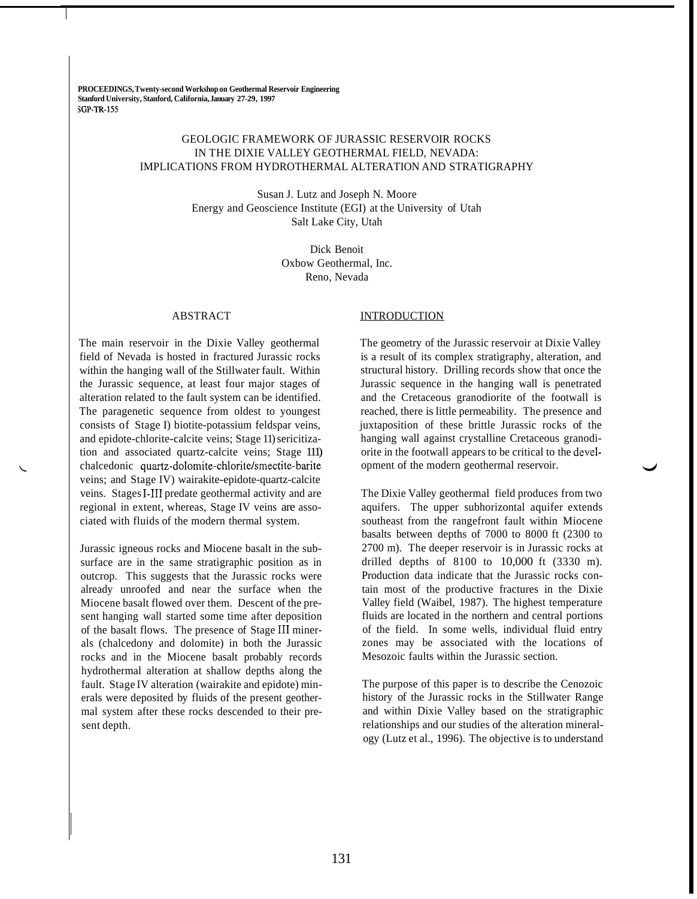**PROCEEDINGS, Twenty-second Workshop on Geothermal Reservoir Engineering Stanford University, Stanford, California, January 27-29, 1997 3GP-TR-1SS** 

# GEOLOGIC FRAMEWORK OF JURASSIC RESERVOIR ROCKS IN THE DIXIE VALLEY GEOTHERMAL FIELD, NEVADA: IMPLICATIONS FROM HYDROTHERMAL ALTERATION AND STRATIGRAPHY

Susan J. Lutz and Joseph N. Moore Energy and Geoscience Institute (EGI) at the University of Utah Salt Lake City, Utah

> Dick Benoit Oxbow Geothermal, Inc. Reno, Nevada

## ABSTRACT

The main reservoir in the Dixie Valley geothermal field of Nevada is hosted in fractured Jurassic rocks within the hanging wall of the Stillwater fault. Within the Jurassic sequence, at least four major stages of alteration related to the fault system can be identified. The paragenetic sequence from oldest to youngest consists of Stage I) biotite-potassium feldspar veins, and epidote-chlorite-calcite veins; Stage 11) sericitization and associated quartz-calcite veins; Stage 111) chalcedonic quartz-dolomite-chlorite/smectite-barite veins; and Stage IV) wairakite-epidote-quartz-calcite veins. Stages 1-111 predate geothermal activity and are regional in extent, whereas, Stage IV veins are associated with fluids of the modern thermal system.

Jurassic igneous rocks and Miocene basalt in the subsurface are in the same stratigraphic position as in outcrop. This suggests that the Jurassic rocks were already unroofed and near the surface when the Miocene basalt flowed over them. Descent of the present hanging wall started some time after deposition of the basalt flows. The presence of Stage 111 minerals (chalcedony and dolomite) in both the Jurassic rocks and in the Miocene basalt probably records hydrothermal alteration at shallow depths along the fault. Stage IV alteration (wairakite and epidote) minerals were deposited by fluids of the present geothermal system after these rocks descended to their present depth.

### **INTRODUCTION**

The geometry of the Jurassic reservoir at Dixie Valley is a result of its complex stratigraphy, alteration, and structural history. Drilling records show that once the Jurassic sequence in the hanging wall is penetrated and the Cretaceous granodiorite of the footwall is reached, there is little permeability. The presence and juxtaposition of these brittle Jurassic rocks of the hanging wall against crystalline Cretaceous granodiorite in the footwall appears to be critical to the development of the modern geothermal reservoir.

The Dixie Valley geothermal field produces from two aquifers. The upper subhorizontal aquifer extends southeast from the rangefront fault within Miocene basalts between depths of 7000 to 8000 ft (2300 to 2700 m). The deeper reservoir is in Jurassic rocks at drilled depths of 8100 to 10,000 ft (3330 m). Production data indicate that the Jurassic rocks contain most of the productive fractures in the Dixie Valley field (Waibel, 1987). The highest temperature fluids are located in the northern and central portions of the field. In some wells, individual fluid entry zones may be associated with the locations of Mesozoic faults within the Jurassic section.

The purpose of this paper is to describe the Cenozoic history of the Jurassic rocks in the Stillwater Range and within Dixie Valley based on the stratigraphic relationships and our studies of the alteration mineralogy (Lutz et al., 1996). The objective is to understand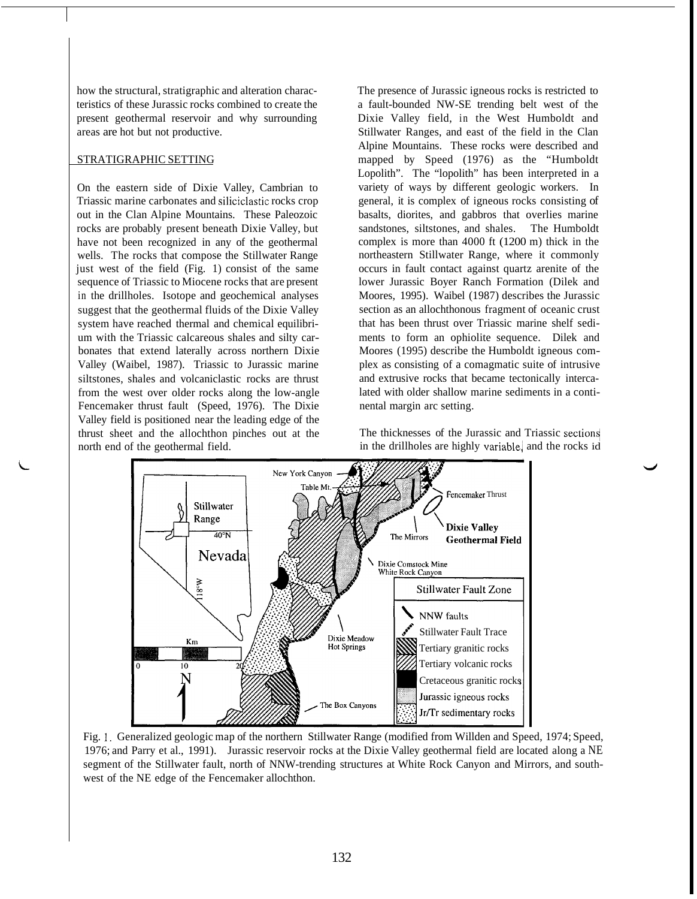how the structural, stratigraphic and alteration characteristics of these Jurassic rocks combined to create the present geothermal reservoir and why surrounding areas are hot but not productive.

## STRATIGRAPHIC SETTING

On the eastern side of Dixie Valley, Cambrian to Triassic marine carbonates and siliciclastic rocks crop out in the Clan Alpine Mountains. These Paleozoic rocks are probably present beneath Dixie Valley, but have not been recognized in any of the geothermal wells. The rocks that compose the Stillwater Range just west of the field (Fig. 1) consist of the same sequence of Triassic to Miocene rocks that are present in the drillholes. Isotope and geochemical analyses suggest that the geothermal fluids of the Dixie Valley system have reached thermal and chemical equilibrium with the Triassic calcareous shales and silty carbonates that extend laterally across northern Dixie Valley (Waibel, 1987). Triassic to Jurassic marine siltstones, shales and volcaniclastic rocks are thrust from the west over older rocks along the low-angle Fencemaker thrust fault (Speed, 1976). The Dixie Valley field is positioned near the leading edge of the thrust sheet and the allochthon pinches out at the north end of the geothermal field.

The presence of Jurassic igneous rocks is restricted to a fault-bounded NW-SE trending belt west of the Dixie Valley field, in the West Humboldt and Stillwater Ranges, and east of the field in the Clan Alpine Mountains. These rocks were described and mapped by Speed (1976) as the "Humboldt Lopolith". The "lopolith" has been interpreted in a variety of ways by different geologic workers. In general, it is complex of igneous rocks consisting of basalts, diorites, and gabbros that overlies marine sandstones, siltstones, and shales. The Humboldt complex is more than 4000 ft (1200 m) thick in the northeastern Stillwater Range, where it commonly occurs in fault contact against quartz arenite of the lower Jurassic Boyer Ranch Formation (Dilek and Moores, 1995). Waibel (1987) describes the Jurassic section as an allochthonous fragment of oceanic crust that has been thrust over Triassic marine shelf sediments to form an ophiolite sequence. Dilek and Moores (1995) describe the Humboldt igneous complex as consisting of a comagmatic suite of intrusive and extrusive rocks that became tectonically intercalated with older shallow marine sediments in a continental margin arc setting.

The thicknesses of the Jurassic and Triassic sections( in the drillholes are highly variable, and the rocks id



[Fig.](#page--1-0) 1. Generalized geologic map of the northern Stillwater Range (modified from Willden and Speed, 1974; Speed, 1976; and Parry et al., 1991). Jurassic reservoir rocks at the Dixie Valley geothermal field are located along a NE segment of the Stillwater fault, north of NNW-trending structures at White Rock Canyon and Mirrors, and southwest of the NE edge of the Fencemaker allochthon.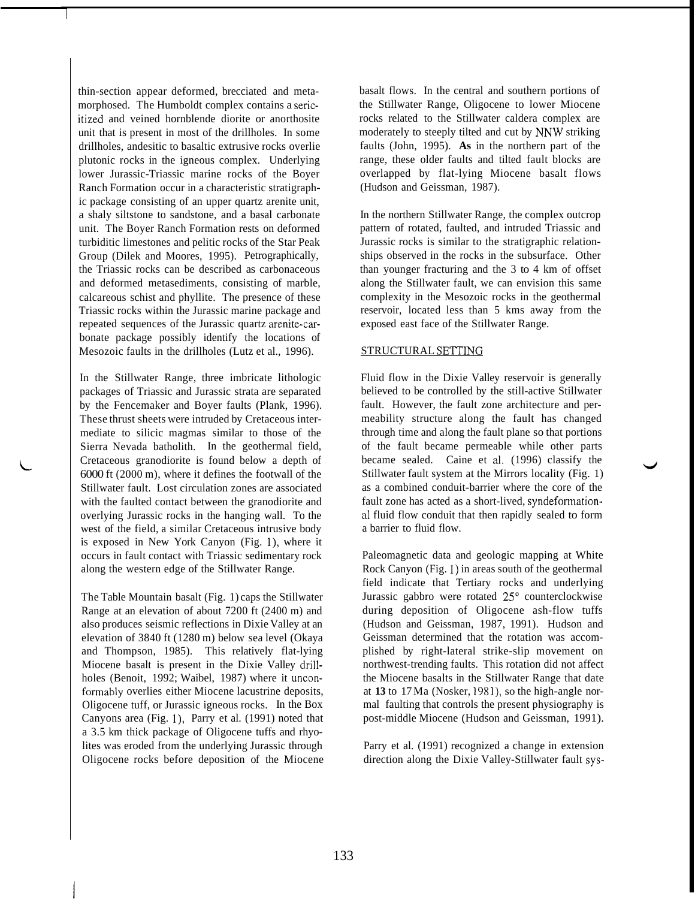thin-section appear deformed, brecciated and metamorphosed. The Humboldt complex contains a sericitized and veined hornblende diorite or anorthosite unit that is present in most of the drillholes. In some drillholes, andesitic to basaltic extrusive rocks overlie plutonic rocks in the igneous complex. Underlying lower Jurassic-Triassic marine rocks of the Boyer Ranch Formation occur in a characteristic stratigraphic package consisting of an upper quartz arenite unit, a shaly siltstone to sandstone, and a basal carbonate unit. The Boyer Ranch Formation rests on deformed turbiditic limestones and pelitic rocks of the Star Peak Group (Dilek and Moores, 1995). Petrographically, the Triassic rocks can be described as carbonaceous and deformed metasediments, consisting of marble, calcareous schist and phyllite. The presence of these Triassic rocks within the Jurassic marine package and repeated sequences of the Jurassic quartz arenite-carbonate package possibly identify the locations of Mesozoic faults in the drillholes (Lutz et al., 1996).

In the Stillwater Range, three imbricate lithologic packages of Triassic and Jurassic strata are separated by the Fencemaker and Boyer faults (Plank, 1996). These thrust sheets were intruded by Cretaceous intermediate to silicic magmas similar to those of the Sierra Nevada batholith. In the geothermal field, Cretaceous granodiorite is found below a depth of 6000 ft (2000 m), where it defines the footwall of the Stillwater fault. Lost circulation zones are associated with the faulted contact between the granodiorite and overlying Jurassic rocks in the hanging wall. To the west of the field, a similar Cretaceous intrusive body is exposed in New York Canyon (Fig. l), where it occurs in fault contact with Triassic sedimentary rock along the western edge of the Stillwater Range.

The Table Mountain basalt (Fig. 1) caps the Stillwater Range at an elevation of about 7200 ft (2400 m) and also produces seismic reflections in Dixie Valley at an elevation of 3840 ft (1280 m) below sea level (Okaya and Thompson, 1985). This relatively flat-lying Miocene basalt is present in the Dixie Valley drillholes (Benoit, 1992; Waibel, 1987) where it unconformably overlies either Miocene lacustrine deposits, Oligocene tuff, or Jurassic igneous rocks. In the Box Canyons area (Fig. l), Parry et al. (1991) noted that a 3.5 km thick package of Oligocene tuffs and rhyolites was eroded from the underlying Jurassic through Oligocene rocks before deposition of the Miocene basalt flows. In the central and southern portions of the Stillwater Range, Oligocene to lower Miocene rocks related to the Stillwater caldera complex are moderately to steeply tilted and cut by NNW striking faults (John, 1995). **As** in the northern part of the range, these older faults and tilted fault blocks are overlapped by flat-lying Miocene basalt flows (Hudson and Geissman, 1987).

In the northern Stillwater Range, the complex outcrop pattern of rotated, faulted, and intruded Triassic and Jurassic rocks is similar to the stratigraphic relationships observed in the rocks in the subsurface. Other than younger fracturing and the 3 to 4 km of offset along the Stillwater fault, we can envision this same complexity in the Mesozoic rocks in the geothermal reservoir, located less than 5 kms away from the exposed east face of the Stillwater Range.

## STRUCTURAL SETTING

Fluid flow in the Dixie Valley reservoir is generally believed to be controlled by the still-active Stillwater fault. However, the fault zone architecture and permeability structure along the fault has changed through time and along the fault plane so that portions of the fault became permeable while other parts became sealed. Caine et al. (1996) classify the Stillwater fault system at the Mirrors locality (Fig. 1) as a combined conduit-barrier where the core of the fault zone has acted as a short-lived, syndeformationa1 fluid flow conduit that then rapidly sealed to form a barrier to fluid flow.

Paleomagnetic data and geologic mapping at White Rock Canyon (Fig. 1) in areas south of the geothermal field indicate that Tertiary rocks and underlying Jurassic gabbro were rotated  $25^{\circ}$  counterclockwise during deposition of Oligocene ash-flow tuffs (Hudson and Geissman, 1987, 1991). Hudson and Geissman determined that the rotation was accomplished by right-lateral strike-slip movement on northwest-trending faults. This rotation did not affect the Miocene basalts in the Stillwater Range that date at **13** to 17 Ma (Nosker, 1981), so the high-angle normal faulting that controls the present physiography is post-middle Miocene (Hudson and Geissman, 1991).

Parry et al. (1991) recognized a change in extension direction along the Dixie Valley-Stillwater fault sys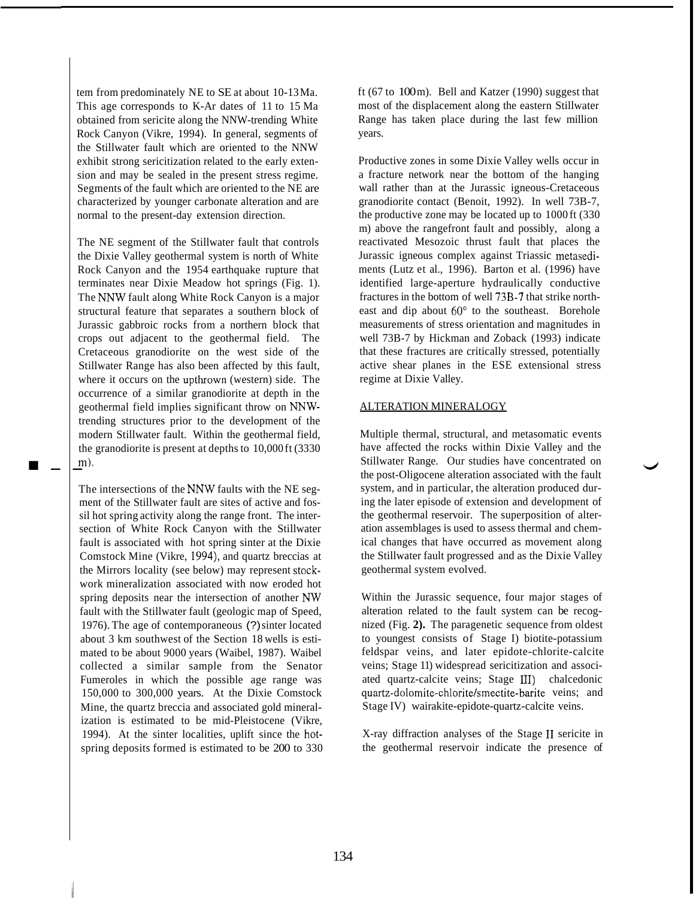tem from predominately NE to SE at about 10-13 Ma. This age corresponds to K-Ar dates of 11 to 15 Ma obtained from sericite along the NNW-trending White Rock Canyon (Vikre, 1994). In general, segments of the Stillwater fault which are oriented to the NNW exhibit strong sericitization related to the early extension and may be sealed in the present stress regime. Segments of the fault which are oriented to the NE are characterized by younger carbonate alteration and are normal to the present-day extension direction.

I.. The NE segment of the Stillwater fault that controls the Dixie Valley geothermal system is north of White Rock Canyon and the 1954 earthquake rupture that terminates near Dixie Meadow hot springs (Fig. 1). The NNW fault along White Rock Canyon is a major structural feature that separates a southern block of Jurassic gabbroic rocks from a northern block that crops out adjacent to the geothermal field. The Cretaceous granodiorite on the west side of the Stillwater Range has also been affected by this fault, where it occurs on the upthrown (western) side. The occurrence of a similar granodiorite at depth in the geothermal field implies significant throw on NNWtrending structures prior to the development of the modern Stillwater fault. Within the geothermal field, the granodiorite is present at depths to 10,000 ft (3330 m).

The intersections of the NNW faults with the NE segment of the Stillwater fault are sites of active and fossil hot spring activity along the range front. The intersection of White Rock Canyon with the Stillwater fault is associated with hot spring sinter at the Dixie Comstock Mine (Vikre, 1994), and quartz breccias at the Mirrors locality (see below) may represent stockwork mineralization associated with now eroded hot spring deposits near the intersection of another *NW*  fault with the Stillwater fault (geologic map of Speed, 1976). The age of contemporaneous (?) sinter located about 3 km southwest of the Section 18 wells is estimated to be about 9000 years (Waibel, 1987). Waibel collected a similar sample from the Senator Fumeroles in which the possible age range was 150,000 to 300,000 years. At the Dixie Comstock Mine, the quartz breccia and associated gold mineralization is estimated to be mid-Pleistocene (Vikre, 1994). At the sinter localities, uplift since the hotspring deposits formed is estimated to be 200 to 330 ft (67 to 100 $m$ ). Bell and Katzer (1990) suggest that most of the displacement along the eastern Stillwater Range has taken place during the last few million years.

Productive zones in some Dixie Valley wells occur in a fracture network near the bottom of the hanging wall rather than at the Jurassic igneous-Cretaceous granodiorite contact (Benoit, 1992). In well 73B-7, the productive zone may be located up to 1000 ft (330 m) above the rangefront fault and possibly, along a reactivated Mesozoic thrust fault that places the Jurassic igneous complex against Triassic metasediments (Lutz et al., 1996). Barton et al. (1996) have identified large-aperture hydraulically conductive fractures in the bottom of well 73B-7 that strike northeast and dip about  $60^{\circ}$  to the southeast. Borehole measurements of stress orientation and magnitudes in well 73B-7 by Hickman and Zoback (1993) indicate that these fractures are critically stressed, potentially active shear planes in the ESE extensional stress regime at Dixie Valley.

## ALTERATION MINERALOGY

Multiple thermal, structural, and metasomatic events have affected the rocks within Dixie Valley and the Stillwater Range. Our studies have concentrated on the post-Oligocene alteration associated with the fault system, and in particular, the alteration produced during the later episode of extension and development of the geothermal reservoir. The superposition of alteration assemblages is used to assess thermal and chemical changes that have occurred as movement along the Stillwater fault progressed and as the Dixie Valley geothermal system evolved.

Within the Jurassic sequence, four major stages of alteration related to the fault system can be recognized (Fig. **2).** The paragenetic sequence from oldest to youngest consists of Stage I) biotite-potassium feldspar veins, and later epidote-chlorite-calcite veins; Stage 11) widespread sericitization and associated quartz-calcite veins; Stage III) chalcedonic quartz-dolomite-chlorite/smectite-barite veins; and Stage IV) wairakite-epidote-quartz-calcite veins.

X-ray diffraction analyses of the Stage **I1** sericite in the geothermal reservoir indicate the presence of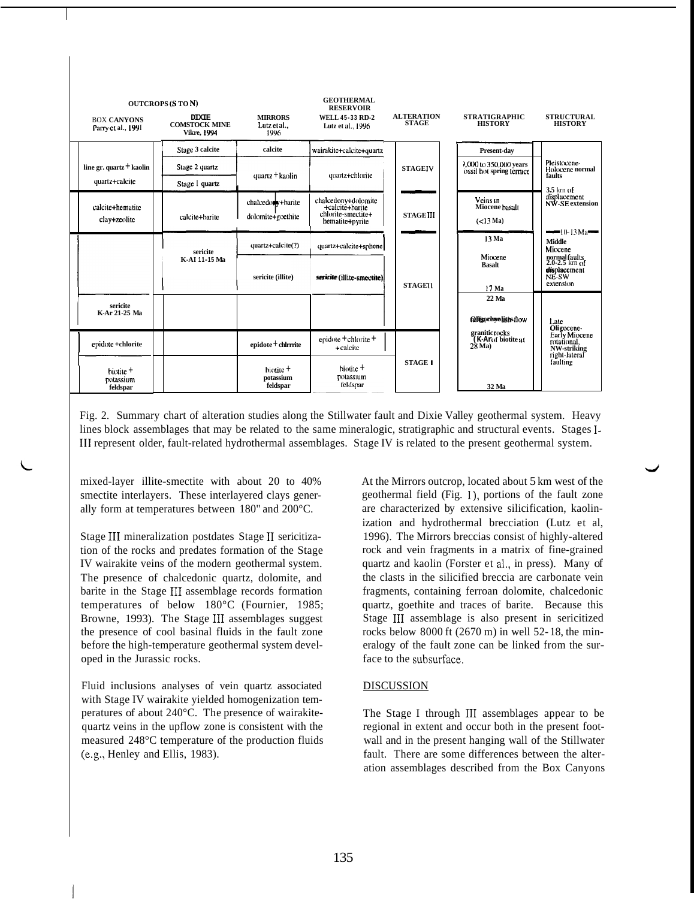| <b>OUTCROPS (STON)</b><br><b>DIXIE</b>                                                                           |                                            |                                        | <b>GEOTHERMAL</b><br><b>RESERVOIR</b>                    | <b>ALTERATION</b> | <b>STRATIGRAPHIC</b>                                                                                                | <b>STRUCTURAL</b>                                   |
|------------------------------------------------------------------------------------------------------------------|--------------------------------------------|----------------------------------------|----------------------------------------------------------|-------------------|---------------------------------------------------------------------------------------------------------------------|-----------------------------------------------------|
| <b>BOX CANYONS</b><br>Parry et al., 1991                                                                         | <b>COMSTOCK MINE</b><br><b>Vikre, 1994</b> | <b>MIRRORS</b><br>Lutz et al.,<br>1996 | <b>WELL 45-33 RD 2</b><br>Lutz et al., 1996              | <b>STAGE</b>      | <b>HISTORY</b>                                                                                                      | <b>HISTORY</b>                                      |
| line gr. quartz + kaolin<br>quartz+calcite                                                                       | Stage 3 calcite                            | calcite<br>quartz + kaolin             | wairakite+calcite+quartz<br>quartz+chlorite              | <b>STAGEIV</b>    | Present-day                                                                                                         | Pleistocene-<br>Holocene normal<br>faults           |
|                                                                                                                  | Stage 2 quartz                             |                                        |                                                          |                   | 1,000 to 350,000 years<br>ossil not spring terrace                                                                  |                                                     |
|                                                                                                                  | Stage I quartz                             | chalcedody+barite                      | chalcedony+dolomite                                      |                   | Veins in                                                                                                            | 3.5 km of<br>uïsplacement<br><b>NW-SE</b> extension |
| calcite+hematite<br>clay+zeolite                                                                                 | calcite+barite                             | dolomite+goethite                      | +calcite+harite<br>chlorite-smectite+<br>hematite+pyrite | <b>STAGEIII</b>   | Miocene basalt<br>$(<13$ Ma)                                                                                        |                                                     |
|                                                                                                                  |                                            | quartz+calcite(?)                      | quartz+calcite+sphene                                    |                   | 13 Ma                                                                                                               | $=10-13$ Ma<br><b>Middle</b><br>Miocene             |
|                                                                                                                  | sericite<br>K AI 11-15 Ma                  |                                        |                                                          |                   | Miocene<br>Basalt                                                                                                   | normal faults<br>2.0-2.5 km of<br>displacement      |
|                                                                                                                  |                                            | sericite (illite)                      | sericite (illite-smectite)                               | <b>STAGEII</b>    | 17 Ma                                                                                                               | NE-SW<br>extension                                  |
| sericite<br>K-Ar 21-25 Ma                                                                                        |                                            |                                        |                                                          |                   | 22 Ma                                                                                                               |                                                     |
|                                                                                                                  |                                            |                                        |                                                          |                   | <b>Olisochyolish</b> sflow<br>granitic rocks                                                                        | Late<br>Oligocene-<br>Early Miocene                 |
| epidote +chlorite                                                                                                |                                            | epidote + chlrrrite                    | epidote + chlorite +<br>+ calcite                        |                   | (K-Arof biotite at<br>28 Ma)                                                                                        | rotational,<br>NW-striking<br>right-lateral         |
| biotite +<br>potassium                                                                                           |                                            | biotite +<br>potassium                 | biotite +<br>potassium                                   | <b>STAGE I</b>    |                                                                                                                     | faulting                                            |
| feldspar                                                                                                         |                                            | feldspar                               | feldspar                                                 |                   | 32 Ma                                                                                                               |                                                     |
|                                                                                                                  |                                            |                                        |                                                          |                   |                                                                                                                     |                                                     |
| Fig. 2. Summary chart of alteration studies along the Stillwater fault and Dixie Valley geothermal system. Heavy |                                            |                                        |                                                          |                   |                                                                                                                     |                                                     |
|                                                                                                                  |                                            |                                        |                                                          |                   | lines block assemblages that may be related to the same mineralogic, stratigraphic and structural events. Stages I- |                                                     |
|                                                                                                                  |                                            |                                        |                                                          |                   | III represent older, fault-related hydrothermal assemblages. Stage IV is related to the present geothermal system.  |                                                     |
| mixed-layer illite-smectite with about 20 to 40%<br>smectite interlayers. These interlayered clays gener-        |                                            |                                        |                                                          |                   | At the Mirrors outcrop, located about 5 km west of the<br>geothermal field (Fig. 1), portions of the fault zone     |                                                     |

mixed-layer illite-smectite with about 20 to 40% smectite interlayers. These interlayered clays generally form at temperatures between 180" and 200°C.

Stage III mineralization postdates Stage II sericitization of the rocks and predates formation of the Stage IV wairakite veins of the modern geothermal system. The presence of chalcedonic quartz, dolomite, and barite in the Stage I11 assemblage records formation temperatures of below 180°C (Fournier, 1985; Browne, 1993). The Stage 111 assemblages suggest the presence of cool basinal fluids in the fault zone before the high-temperature geothermal system developed in the Jurassic rocks.

Fluid inclusions analyses of vein quartz associated with Stage IV wairakite yielded homogenization temperatures of about 240°C. The presence of wairakitequartz veins in the upflow zone is consistent with the measured 248°C temperature of the production fluids (e.g., Henley and Ellis, 1983).

At the Mirrors outcrop, located about 5 km west of the geothermal field (Fig. l), portions of the fault zone are characterized by extensive silicification, kaolinization and hydrothermal brecciation (Lutz et al, 1996). The Mirrors breccias consist of highly-altered rock and vein fragments in a matrix of fine-grained quartz and kaolin (Forster et al., in press). Many of the clasts in the silicified breccia are carbonate vein fragments, containing ferroan dolomite, chalcedonic quartz, goethite and traces of barite. Because this Stage I11 assemblage is also present in sericitized rocks below 8000 ft (2670 m) in well 52- 18, the mineralogy of the fault zone can be linked from the surface to the subsurface.

#### DISCUSSION

The Stage I through III assemblages appear to be regional in extent and occur both in the present footwall and in the present hanging wall of the Stillwater fault. There are some differences between the alteration assemblages described from the Box Canyons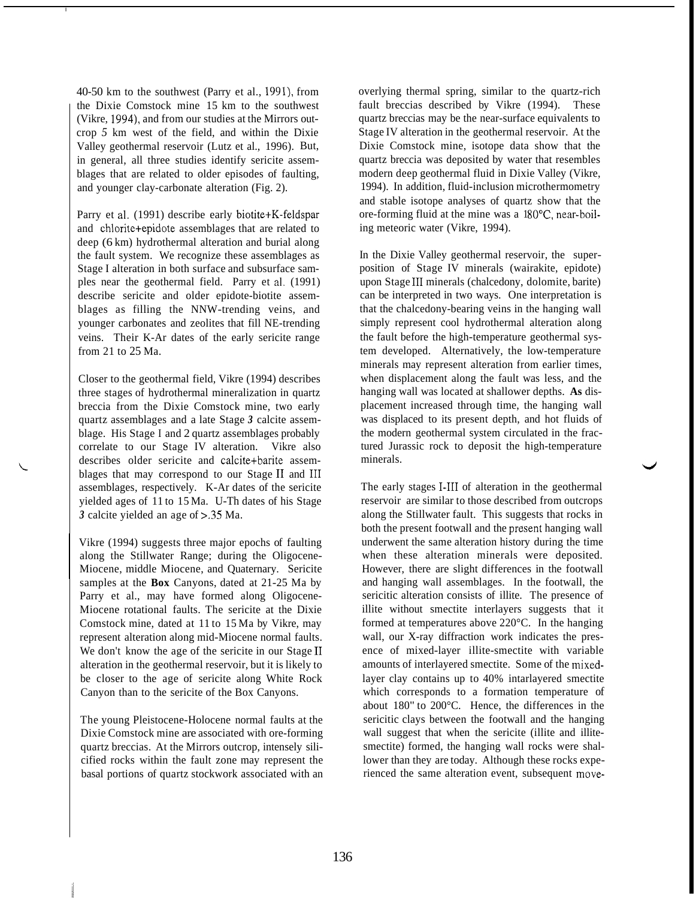40-50 km to the southwest (Parry et al., 1991), from the Dixie Comstock mine 15 km to the southwest (Vikre, 1994), and from our studies at the Mirrors outcrop *5* km west of the field, and within the Dixie Valley geothermal reservoir (Lutz et al., 1996). But, in general, all three studies identify sericite assemblages that are related to older episodes of faulting, and younger clay-carbonate alteration (Fig. 2).

I

Parry et al. (1991) describe early biotite+K-feldspar and chlorite+epidote assemblages that are related to deep (6 km) hydrothermal alteration and burial along the fault system. We recognize these assemblages as Stage I alteration in both surface and subsurface samples near the geothermal field. Parry et al. (1991) describe sericite and older epidote-biotite assemblages as filling the NNW-trending veins, and younger carbonates and zeolites that fill NE-trending veins. Their K-Ar dates of the early sericite range from 21 to 25 Ma.

Closer to the geothermal field, Vikre (1994) describes three stages of hydrothermal mineralization in quartz breccia from the Dixie Comstock mine, two early quartz assemblages and a late Stage *3* calcite assemblage. His Stage I and 2 quartz assemblages probably correlate to our Stage IV alteration. Vikre also describes older sericite and calcite+barite assemblages that may correspond to our Stage II and III assemblages, respectively. K-Ar dates of the sericite yielded ages of 11 to 15 Ma. U-Th dates of his Stage *3* calcite yielded an age of **>.35** Ma.

Vikre (1994) suggests three major epochs of faulting along the Stillwater Range; during the Oligocene-Miocene, middle Miocene, and Quaternary. Sericite samples at the **Box** Canyons, dated at 21-25 Ma by Parry et al., may have formed along Oligocene-Miocene rotational faults. The sericite at the Dixie Comstock mine, dated at 11 to 15 Ma by Vikre, may represent alteration along mid-Miocene normal faults. We don't know the age of the sericite in our Stage II alteration in the geothermal reservoir, but it is likely to be closer to the age of sericite along White Rock Canyon than to the sericite of the Box Canyons.

The young Pleistocene-Holocene normal faults at the Dixie Comstock mine are associated with ore-forming quartz breccias. At the Mirrors outcrop, intensely silicified rocks within the fault zone may represent the basal portions of quartz stockwork associated with an overlying thermal spring, similar to the quartz-rich fault breccias described by Vikre (1994). These quartz breccias may be the near-surface equivalents to Stage IV alteration in the geothermal reservoir. At the Dixie Comstock mine, isotope data show that the quartz breccia was deposited by water that resembles modern deep geothermal fluid in Dixie Valley (Vikre, 1994). In addition, fluid-inclusion microthermometry and stable isotope analyses of quartz show that the ore-forming fluid at the mine was a  $180^{\circ}$ C, near-boiling meteoric water (Vikre, 1994).

In the Dixie Valley geothermal reservoir, the superposition of Stage IV minerals (wairakite, epidote) upon Stage I11 minerals (chalcedony, dolomite, barite) can be interpreted in two ways. One interpretation is that the chalcedony-bearing veins in the hanging wall simply represent cool hydrothermal alteration along the fault before the high-temperature geothermal system developed. Alternatively, the low-temperature minerals may represent alteration from earlier times, when displacement along the fault was less, and the hanging wall was located at shallower depths. **As** displacement increased through time, the hanging wall was displaced to its present depth, and hot fluids of the modern geothermal system circulated in the fractured Jurassic rock to deposit the high-temperature minerals.

The early stages 1-111 of alteration in the geothermal reservoir are similar to those described from outcrops along the Stillwater fault. This suggests that rocks in both the present footwall and the present hanging wall underwent the same alteration history during the time when these alteration minerals were deposited. However, there are slight differences in the footwall and hanging wall assemblages. In the footwall, the sericitic alteration consists of illite. The presence of illite without smectite interlayers suggests that it formed at temperatures above 220°C. In the hanging wall, our X-ray diffraction work indicates the presence of mixed-layer illite-smectite with variable amounts of interlayered smectite. Some of the mixedlayer clay contains up to 40% intarlayered smectite which corresponds to a formation temperature of about 180" to 200°C. Hence, the differences in the sericitic clays between the footwall and the hanging wall suggest that when the sericite (illite and illitesmectite) formed, the hanging wall rocks were shallower than they are today. Although these rocks experienced the same alteration event, subsequent move-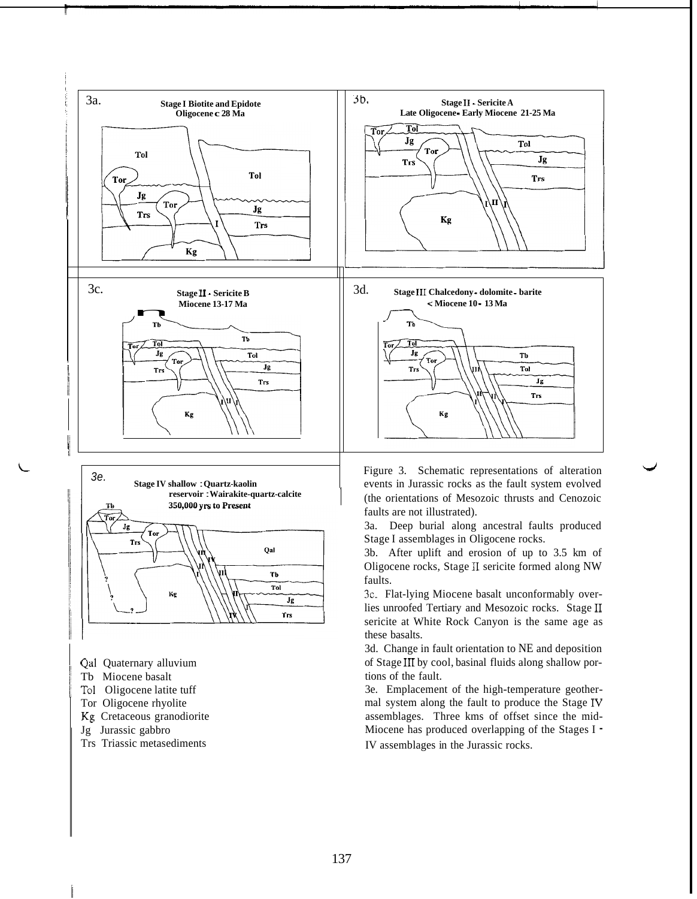



- Qal Quaternary alluvium
- Tb Miocene basalt
- To1 Oligocene latite tuff
- Tor Oligocene rhyolite
- Kg Cretaceous granodiorite
- Jg Jurassic gabbro
- Trs Triassic metasediments

events in Jurassic rocks as the fault system evolved (the orientations of Mesozoic thrusts and Cenozoic faults are not illustrated).

3a. Deep burial along ancestral faults produced Stage I assemblages in Oligocene rocks.

3b. After uplift and erosion of up to 3.5 km of Oligocene rocks, Stage I1 sericite formed along NW faults.

3c. Flat-lying Miocene basalt unconformably overlies unroofed Tertiary and Mesozoic rocks. Stage I1 sericite at White Rock Canyon is the same age as these basalts.

3d. Change in fault orientation to NE and deposition of Stage I11 by cool, basinal fluids along shallow portions of the fault.

3e. Emplacement of the high-temperature geothermal system along the fault to produce the Stage IV assemblages. Three kms of offset since the mid-Miocene has produced overlapping of the Stages I -

IV assemblages in the Jurassic rocks.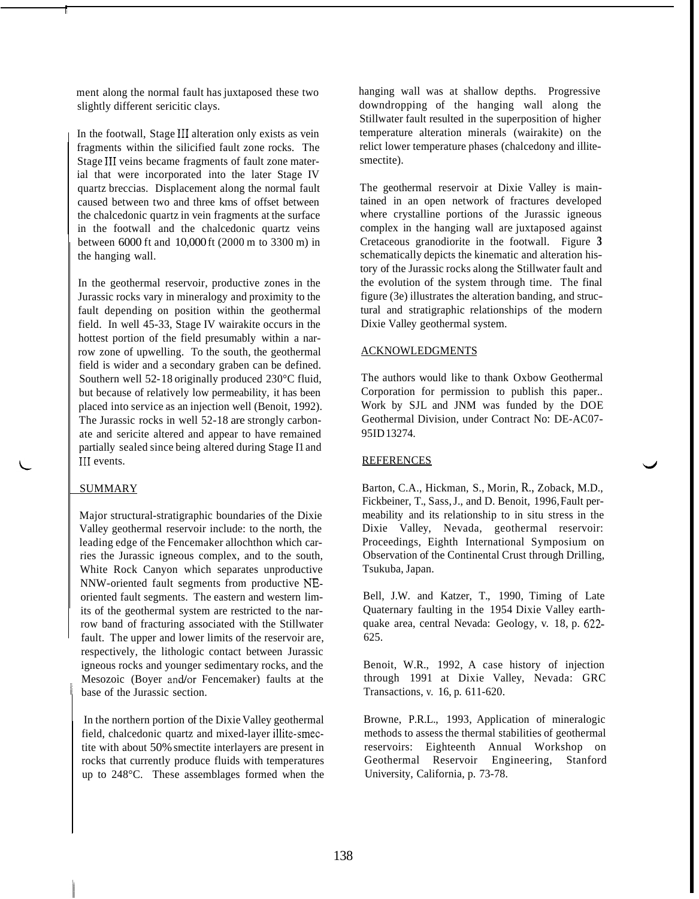ment along the normal fault has juxtaposed these two slightly different sericitic clays.

In the footwall, Stage III alteration only exists as vein fragments within the silicified fault zone rocks. The Stage III veins became fragments of fault zone material that were incorporated into the later Stage IV quartz breccias. Displacement along the normal fault caused between two and three kms of offset between the chalcedonic quartz in vein fragments at the surface in the footwall and the chalcedonic quartz veins between 6000 ft and 10,000 ft (2000 m to 3300 m) in the hanging wall.

In the geothermal reservoir, productive zones in the Jurassic rocks vary in mineralogy and proximity to the fault depending on position within the geothermal field. In well 45-33, Stage IV wairakite occurs in the hottest portion of the field presumably within a narrow zone of upwelling. To the south, the geothermal field is wider and a secondary graben can be defined. Southern well 52- 18 originally produced 230°C fluid, but because of relatively low permeability, it has been placed into service as an injection well (Benoit, 1992). The Jurassic rocks in well 52-18 are strongly carbonate and sericite altered and appear to have remained partially sealed since being altered during Stage I1 and III events.

#### SUMMARY

Major structural-stratigraphic boundaries of the Dixie Valley geothermal reservoir include: to the north, the leading edge of the Fencemaker allochthon which carries the Jurassic igneous complex, and to the south, White Rock Canyon which separates unproductive NNW-oriented fault segments from productive NEoriented fault segments. The eastern and western limits of the geothermal system are restricted to the narrow band of fracturing associated with the Stillwater fault. The upper and lower limits of the reservoir are, respectively, the lithologic contact between Jurassic igneous rocks and younger sedimentary rocks, and the Mesozoic (Boyer and/or Fencemaker) faults at the base of the Jurassic section.

In the northern portion of the Dixie Valley geothermal field, chalcedonic quartz and mixed-layer illite-smectite with about 50% smectite interlayers are present in rocks that currently produce fluids with temperatures up to 248°C. These assemblages formed when the hanging wall was at shallow depths. Progressive downdropping of the hanging wall along the Stillwater fault resulted in the superposition of higher temperature alteration minerals (wairakite) on the relict lower temperature phases (chalcedony and illitesmectite).

The geothermal reservoir at Dixie Valley is maintained in an open network of fractures developed where crystalline portions of the Jurassic igneous complex in the hanging wall are juxtaposed against Cretaceous granodiorite in the footwall. [Figure](#page--1-0) **3**  schematically depicts the kinematic and alteration history of the Jurassic rocks along the Stillwater fault and the evolution of the system through time. The final figure (3e) illustrates the alteration banding, and structural and stratigraphic relationships of the modern Dixie Valley geothermal system.

## ACKNOWLEDGMENTS

The authors would like to thank Oxbow Geothermal Corporation for permission to publish this paper.. Work by SJL and JNM was funded by the DOE Geothermal Division, under Contract No: DE-AC07- 95ID 13274.

*J* 

#### **REFERENCES**

Barton, C.A., Hickman, S., Morin, R., Zoback, M.D., Fickbeiner, T., Sass, J., and D. Benoit, 1996, Fault permeability and its relationship to in situ stress in the Dixie Valley, Nevada, geothermal reservoir: Proceedings, Eighth International Symposium on Observation of the Continental Crust through Drilling, Tsukuba, Japan.

Bell, J.W. and Katzer, T., 1990, Timing of Late Quaternary faulting in the 1954 Dixie Valley earthquake area, central Nevada: Geology, v. 18, p. 622- 625.

Benoit, W.R., 1992, A case history of injection through 1991 at Dixie Valley, Nevada: GRC Transactions, v. 16, p. 611-620.

Browne, P.R.L., 1993, Application of mineralogic methods to assess the thermal stabilities of geothermal reservoirs: Eighteenth Annual Workshop on Geothermal Reservoir Engineering, Stanford University, California, p. 73-78.